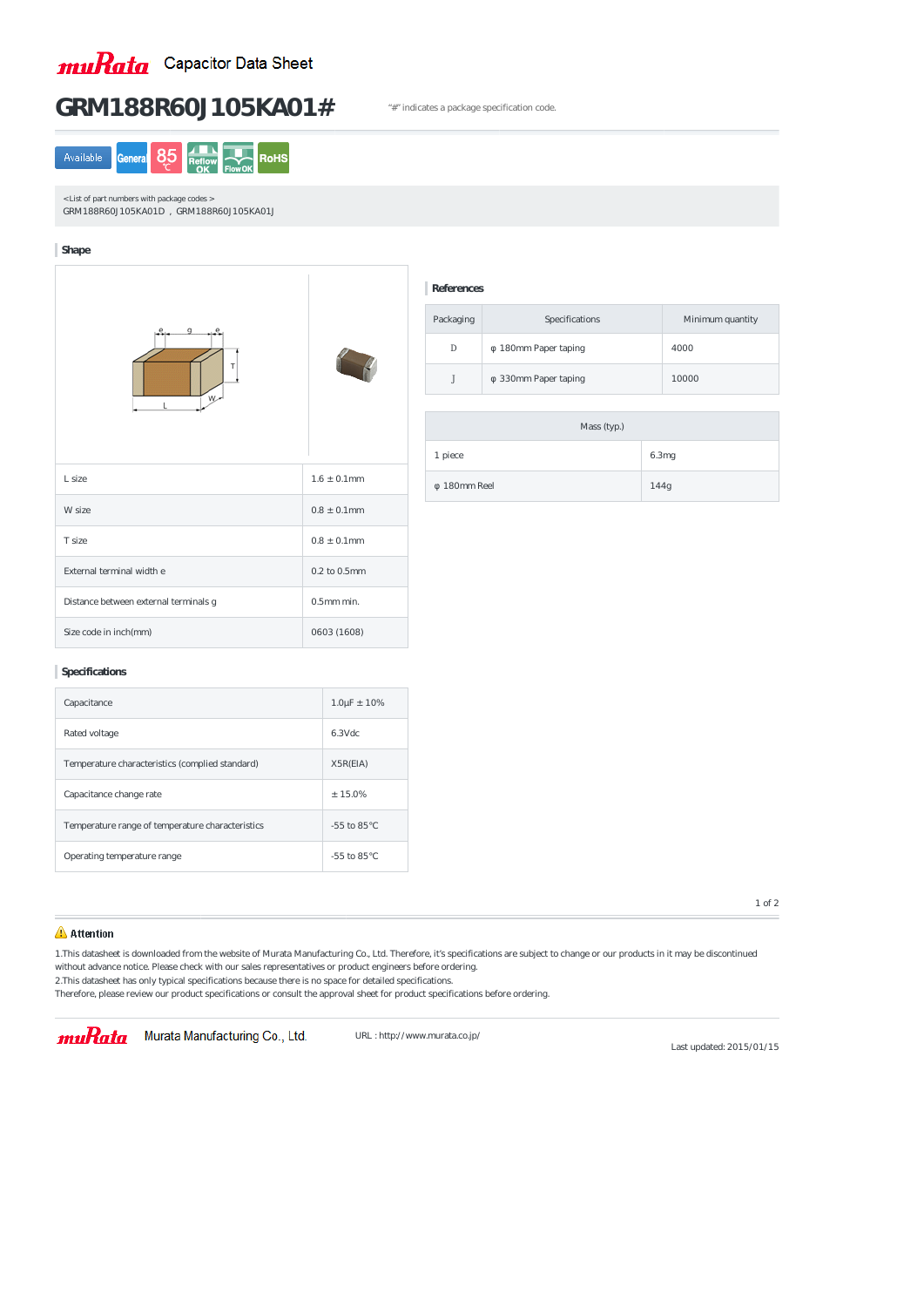

# GRM188R60J105KA01# "#" indicates a package specification code.



< List of part numbers with package codes > GRM188R60J105KA01D , GRM188R60J105KA01J

## **Shape**



| L size                                | $1.6 \pm 0.1$ mm  |
|---------------------------------------|-------------------|
| W size                                | $0.8 \pm 0.1$ mm  |
| T size                                | $0.8 \pm 0.1$ mm  |
| External terminal width e             | $0.2$ to $0.5$ mm |
| Distance between external terminals g | $0.5$ mm min.     |
| Size code in inch(mm)                 | 0603 (1608)       |

## **Specifications**

| Capacitance                                      | $1.0 \mu F \pm 10\%$ |
|--------------------------------------------------|----------------------|
| Rated voltage                                    | 6.3Vdc               |
| Temperature characteristics (complied standard)  | X5R(EA)              |
| Capacitance change rate                          | $± 15.0\%$           |
| Temperature range of temperature characteristics | $-55$ to $85$        |
| Operating temperature range                      | $-55$ to $85$        |

#### **References**

| Packaging | Specifications     | Minimum quantity |
|-----------|--------------------|------------------|
| D         | 180mm Paper taping | 4000             |
|           | 330mm Paper taping | 10000            |

| Mass (typ.) |       |  |
|-------------|-------|--|
| 1 piece     | 6.3mg |  |
| 180mm Reel  | 144g  |  |

## **Attention**

1.This datasheet is downloaded from the website of Murata Manufacturing Co., Ltd. Therefore, it's specifications are subject to change or our products in it may be discontinued without advance notice. Please check with our sales representatives or product engineers before ordering. 2.This datasheet has only typical specifications because there is no space for detailed specifications.

Therefore, please review our product specifications or consult the approval sheet for product specifications before ordering.

muRata Murata Manufacturing Co., Ltd.

URL : http://www.murata.co.jp/

Last updated: 2015/01/15